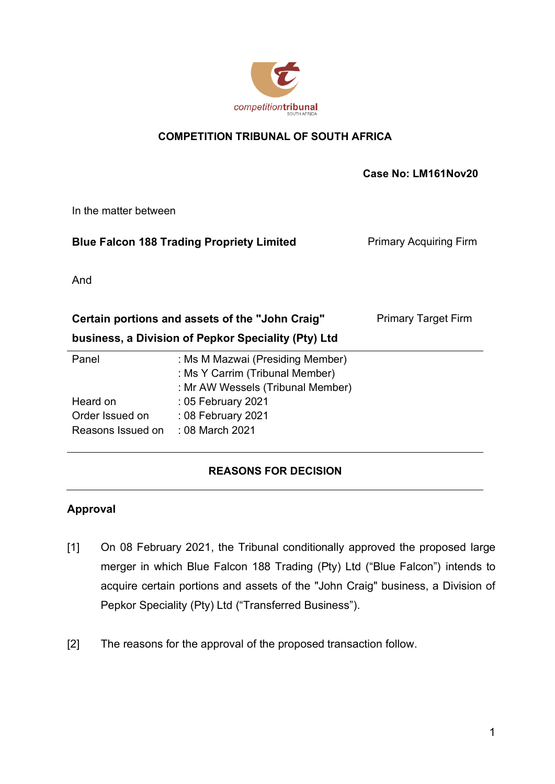

## **COMPETITION TRIBUNAL OF SOUTH AFRICA**

 **Case No: LM161Nov20**

In the matter between

| <b>Blue Falcon 188 Trading Propriety Limited</b> | <b>Primary Acquiring Firm</b> |
|--------------------------------------------------|-------------------------------|
|                                                  |                               |

And

| Certain portions and assets of the "John Craig"     |                                                                                                          | <b>Primary Target Firm</b> |
|-----------------------------------------------------|----------------------------------------------------------------------------------------------------------|----------------------------|
| business, a Division of Pepkor Speciality (Pty) Ltd |                                                                                                          |                            |
| Panel                                               | : Ms M Mazwai (Presiding Member)<br>: Ms Y Carrim (Tribunal Member)<br>: Mr AW Wessels (Tribunal Member) |                            |
| Heard on<br>Order Issued on<br>Reasons Issued on    | : 05 February 2021<br>: 08 February 2021<br>: 08 March 2021                                              |                            |

# **REASONS FOR DECISION**

# **Approval**

- [1] On 08 February 2021, the Tribunal conditionally approved the proposed large merger in which Blue Falcon 188 Trading (Pty) Ltd ("Blue Falcon") intends to acquire certain portions and assets of the "John Craig" business, a Division of Pepkor Speciality (Pty) Ltd ("Transferred Business").
- [2] The reasons for the approval of the proposed transaction follow.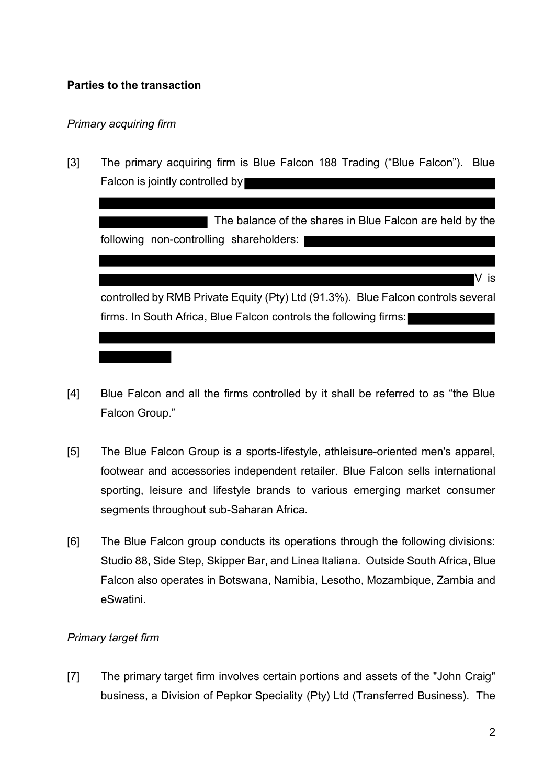## **Parties to the transaction**

### *Primary acquiring firm*

[3] The primary acquiring firm is Blue Falcon 188 Trading ("Blue Falcon"). Blue Falcon is jointly controlled by

The balance of the shares in Blue Falcon are held by the following non-controlling shareholders: V is controlled by RMB Private Equity (Pty) Ltd (91.3%). Blue Falcon controls several firms. In South Africa, Blue Falcon controls the following firms:

- [4] Blue Falcon and all the firms controlled by it shall be referred to as "the Blue Falcon Group."
- [5] The Blue Falcon Group is a sports-lifestyle, athleisure-oriented men's apparel, footwear and accessories independent retailer. Blue Falcon sells international sporting, leisure and lifestyle brands to various emerging market consumer segments throughout sub-Saharan Africa.
- [6] The Blue Falcon group conducts its operations through the following divisions: Studio 88, Side Step, Skipper Bar, and Linea Italiana. Outside South Africa, Blue Falcon also operates in Botswana, Namibia, Lesotho, Mozambique, Zambia and eSwatini.

## *Primary target firm*

[7] The primary target firm involves certain portions and assets of the "John Craig" business, a Division of Pepkor Speciality (Pty) Ltd (Transferred Business). The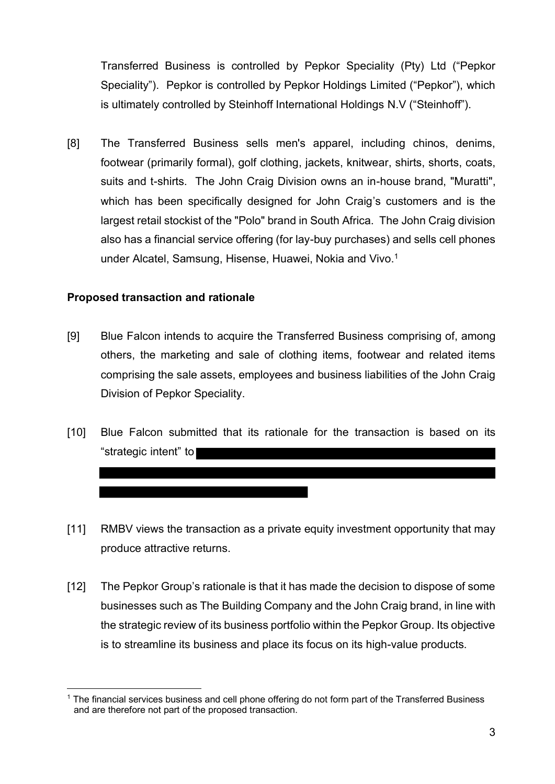Transferred Business is controlled by Pepkor Speciality (Pty) Ltd ("Pepkor Speciality"). Pepkor is controlled by Pepkor Holdings Limited ("Pepkor"), which is ultimately controlled by Steinhoff International Holdings N.V ("Steinhoff").

[8] The Transferred Business sells men's apparel, including chinos, denims, footwear (primarily formal), golf clothing, jackets, knitwear, shirts, shorts, coats, suits and t-shirts. The John Craig Division owns an in-house brand, "Muratti", which has been specifically designed for John Craig's customers and is the largest retail stockist of the "Polo" brand in South Africa. The John Craig division also has a financial service offering (for lay-buy purchases) and sells cell phones under Alcatel, Samsung, Hisense, Huawei, Nokia and Vivo.<sup>1</sup>

### **Proposed transaction and rationale**

- [9] Blue Falcon intends to acquire the Transferred Business comprising of, among others, the marketing and sale of clothing items, footwear and related items comprising the sale assets, employees and business liabilities of the John Craig Division of Pepkor Speciality.
- [10] Blue Falcon submitted that its rationale for the transaction is based on its "strategic intent" to
- [11] RMBV views the transaction as a private equity investment opportunity that may produce attractive returns.
- [12] The Pepkor Group's rationale is that it has made the decision to dispose of some businesses such as The Building Company and the John Craig brand, in line with the strategic review of its business portfolio within the Pepkor Group. Its objective is to streamline its business and place its focus on its high-value products.

 $1$  The financial services business and cell phone offering do not form part of the Transferred Business and are therefore not part of the proposed transaction.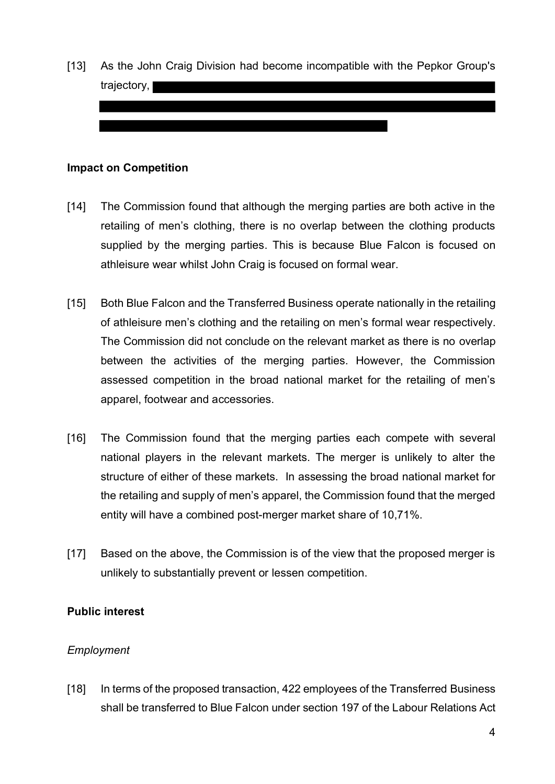[13] As the John Craig Division had become incompatible with the Pepkor Group's trajectory,

#### **Impact on Competition**

- [14] The Commission found that although the merging parties are both active in the retailing of men's clothing, there is no overlap between the clothing products supplied by the merging parties. This is because Blue Falcon is focused on athleisure wear whilst John Craig is focused on formal wear.
- [15] Both Blue Falcon and the Transferred Business operate nationally in the retailing of athleisure men's clothing and the retailing on men's formal wear respectively. The Commission did not conclude on the relevant market as there is no overlap between the activities of the merging parties. However, the Commission assessed competition in the broad national market for the retailing of men's apparel, footwear and accessories.
- [16] The Commission found that the merging parties each compete with several national players in the relevant markets. The merger is unlikely to alter the structure of either of these markets. In assessing the broad national market for the retailing and supply of men's apparel, the Commission found that the merged entity will have a combined post-merger market share of 10,71%.
- [17] Based on the above, the Commission is of the view that the proposed merger is unlikely to substantially prevent or lessen competition.

#### **Public interest**

#### *Employment*

[18] In terms of the proposed transaction, 422 employees of the Transferred Business shall be transferred to Blue Falcon under section 197 of the Labour Relations Act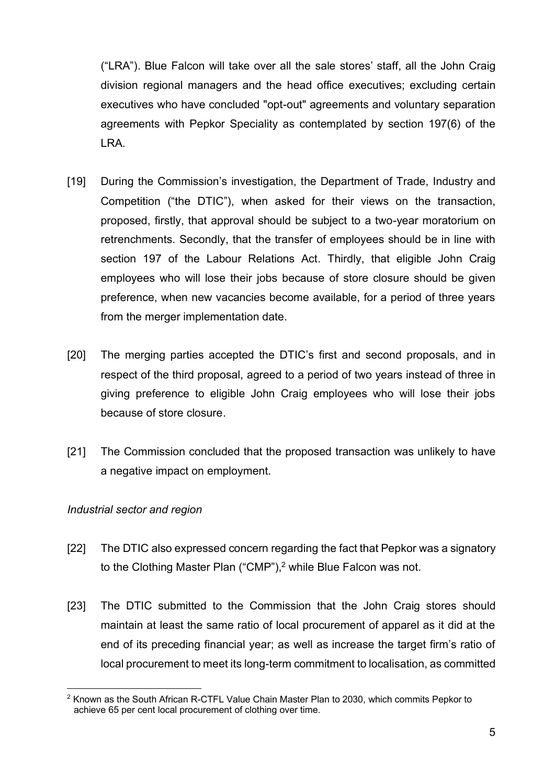("LRA"). Blue Falcon will take over all the sale stores' staff, all the John Craig division regional managers and the head office executives; excluding certain executives who have concluded "opt-out" agreements and voluntary separation agreements with Pepkor Speciality as contemplated by section 197(6) of the LRA.

- [19] During the Commission's investigation, the Department of Trade, Industry and Competition ("the DTIC"), when asked for their views on the transaction, proposed, firstly, that approval should be subject to a two-year moratorium on retrenchments. Secondly, that the transfer of employees should be in line with section 197 of the Labour Relations Act. Thirdly, that eligible John Craig employees who will lose their jobs because of store closure should be given preference, when new vacancies become available, for a period of three years from the merger implementation date.
- [20] The merging parties accepted the DTIC's first and second proposals, and in respect of the third proposal, agreed to a period of two years instead of three in giving preference to eligible John Craig employees who will lose their jobs because of store closure.
- [21] The Commission concluded that the proposed transaction was unlikely to have a negative impact on employment.

## *Industrial sector and region*

- [22] The DTIC also expressed concern regarding the fact that Pepkor was a signatory to the Clothing Master Plan ("CMP"), <sup>2</sup> while Blue Falcon was not.
- [23] The DTIC submitted to the Commission that the John Craig stores should maintain at least the same ratio of local procurement of apparel as it did at the end of its preceding financial year; as well as increase the target firm's ratio of local procurement to meet its long-term commitment to localisation, as committed

 $2$  Known as the South African R-CTFL Value Chain Master Plan to 2030, which commits Pepkor to achieve 65 per cent local procurement of clothing over time.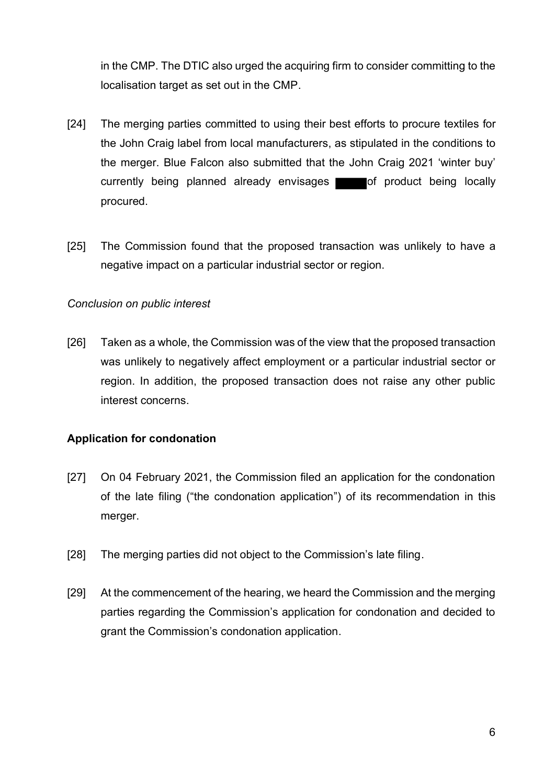in the CMP. The DTIC also urged the acquiring firm to consider committing to the localisation target as set out in the CMP.

- [24] The merging parties committed to using their best efforts to procure textiles for the John Craig label from local manufacturers, as stipulated in the conditions to the merger. Blue Falcon also submitted that the John Craig 2021 'winter buy' currently being planned already envisages of product being locally procured.
- [25] The Commission found that the proposed transaction was unlikely to have a negative impact on a particular industrial sector or region.

### *Conclusion on public interest*

[26] Taken as a whole, the Commission was of the view that the proposed transaction was unlikely to negatively affect employment or a particular industrial sector or region. In addition, the proposed transaction does not raise any other public interest concerns.

## **Application for condonation**

- [27] On 04 February 2021, the Commission filed an application for the condonation of the late filing ("the condonation application") of its recommendation in this merger.
- [28] The merging parties did not object to the Commission's late filing.
- [29] At the commencement of the hearing, we heard the Commission and the merging parties regarding the Commission's application for condonation and decided to grant the Commission's condonation application.